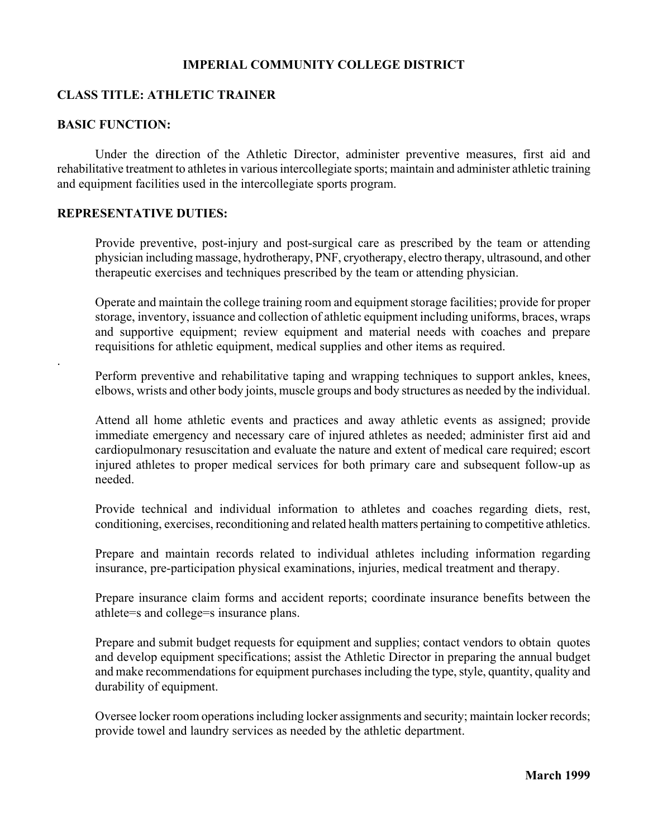### **IMPERIAL COMMUNITY COLLEGE DISTRICT**

### **CLASS TITLE: ATHLETIC TRAINER**

### **BASIC FUNCTION:**

.

Under the direction of the Athletic Director, administer preventive measures, first aid and rehabilitative treatment to athletes in various intercollegiate sports; maintain and administer athletic training and equipment facilities used in the intercollegiate sports program.

#### **REPRESENTATIVE DUTIES:**

Provide preventive, post-injury and post-surgical care as prescribed by the team or attending physician including massage, hydrotherapy, PNF, cryotherapy, electro therapy, ultrasound, and other therapeutic exercises and techniques prescribed by the team or attending physician.

Operate and maintain the college training room and equipment storage facilities; provide for proper storage, inventory, issuance and collection of athletic equipment including uniforms, braces, wraps and supportive equipment; review equipment and material needs with coaches and prepare requisitions for athletic equipment, medical supplies and other items as required.

Perform preventive and rehabilitative taping and wrapping techniques to support ankles, knees, elbows, wrists and other body joints, muscle groups and body structures as needed by the individual.

Attend all home athletic events and practices and away athletic events as assigned; provide immediate emergency and necessary care of injured athletes as needed; administer first aid and cardiopulmonary resuscitation and evaluate the nature and extent of medical care required; escort injured athletes to proper medical services for both primary care and subsequent follow-up as needed.

Provide technical and individual information to athletes and coaches regarding diets, rest, conditioning, exercises, reconditioning and related health matters pertaining to competitive athletics.

Prepare and maintain records related to individual athletes including information regarding insurance, pre-participation physical examinations, injuries, medical treatment and therapy.

Prepare insurance claim forms and accident reports; coordinate insurance benefits between the athlete=s and college=s insurance plans.

Prepare and submit budget requests for equipment and supplies; contact vendors to obtain quotes and develop equipment specifications; assist the Athletic Director in preparing the annual budget and make recommendations for equipment purchases including the type, style, quantity, quality and durability of equipment.

Oversee locker room operations including locker assignments and security; maintain locker records; provide towel and laundry services as needed by the athletic department.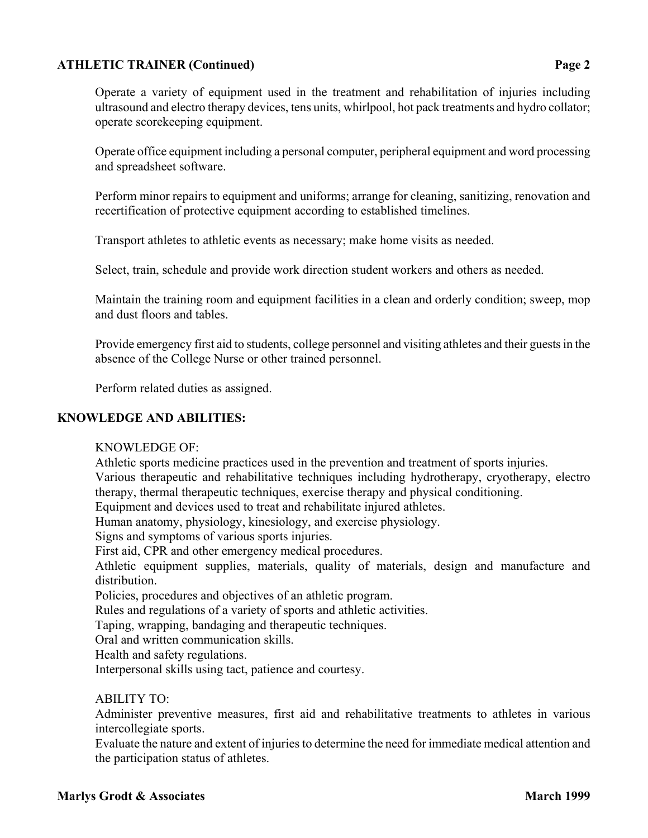## **ATHLETIC TRAINER (Continued) Page 2**

Operate office equipment including a personal computer, peripheral equipment and word processing and spreadsheet software.

Perform minor repairs to equipment and uniforms; arrange for cleaning, sanitizing, renovation and recertification of protective equipment according to established timelines.

Transport athletes to athletic events as necessary; make home visits as needed.

Select, train, schedule and provide work direction student workers and others as needed.

Maintain the training room and equipment facilities in a clean and orderly condition; sweep, mop and dust floors and tables.

Provide emergency first aid to students, college personnel and visiting athletes and their guests in the absence of the College Nurse or other trained personnel.

Perform related duties as assigned.

## **KNOWLEDGE AND ABILITIES:**

### KNOWLEDGE OF:

Athletic sports medicine practices used in the prevention and treatment of sports injuries.

Various therapeutic and rehabilitative techniques including hydrotherapy, cryotherapy, electro therapy, thermal therapeutic techniques, exercise therapy and physical conditioning.

Equipment and devices used to treat and rehabilitate injured athletes.

Human anatomy, physiology, kinesiology, and exercise physiology.

Signs and symptoms of various sports injuries.

First aid, CPR and other emergency medical procedures.

Athletic equipment supplies, materials, quality of materials, design and manufacture and distribution.

Policies, procedures and objectives of an athletic program.

Rules and regulations of a variety of sports and athletic activities.

Taping, wrapping, bandaging and therapeutic techniques.

Oral and written communication skills.

Health and safety regulations.

Interpersonal skills using tact, patience and courtesy.

### ABILITY TO:

Administer preventive measures, first aid and rehabilitative treatments to athletes in various intercollegiate sports.

Evaluate the nature and extent of injuries to determine the need for immediate medical attention and the participation status of athletes.